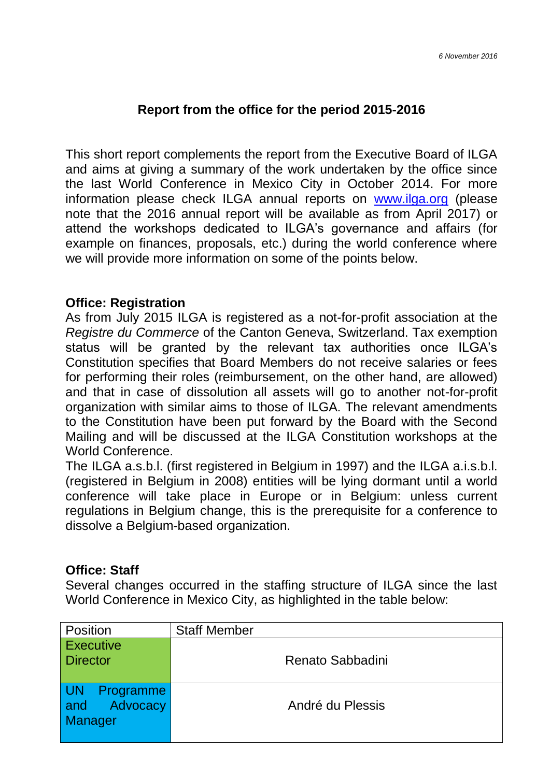## **Report from the office for the period 2015-2016**

This short report complements the report from the Executive Board of ILGA and aims at giving a summary of the work undertaken by the office since the last World Conference in Mexico City in October 2014. For more information please check ILGA annual reports on [www.ilga.org](http://www.ilga.org/) (please note that the 2016 annual report will be available as from April 2017) or attend the workshops dedicated to ILGA's governance and affairs (for example on finances, proposals, etc.) during the world conference where we will provide more information on some of the points below.

### **Office: Registration**

As from July 2015 ILGA is registered as a not-for-profit association at the *Registre du Commerce* of the Canton Geneva, Switzerland. Tax exemption status will be granted by the relevant tax authorities once ILGA's Constitution specifies that Board Members do not receive salaries or fees for performing their roles (reimbursement, on the other hand, are allowed) and that in case of dissolution all assets will go to another not-for-profit organization with similar aims to those of ILGA. The relevant amendments to the Constitution have been put forward by the Board with the Second Mailing and will be discussed at the ILGA Constitution workshops at the World Conference.

The ILGA a.s.b.l. (first registered in Belgium in 1997) and the ILGA a.i.s.b.l. (registered in Belgium in 2008) entities will be lying dormant until a world conference will take place in Europe or in Belgium: unless current regulations in Belgium change, this is the prerequisite for a conference to dissolve a Belgium-based organization.

#### **Office: Staff**

Several changes occurred in the staffing structure of ILGA since the last World Conference in Mexico City, as highlighted in the table below:

| <b>Position</b>                                   | <b>Staff Member</b> |
|---------------------------------------------------|---------------------|
| <b>Executive</b><br><b>Director</b>               | Renato Sabbadini    |
| <b>UN</b><br>Programme<br>and Advocacy<br>Manager | André du Plessis    |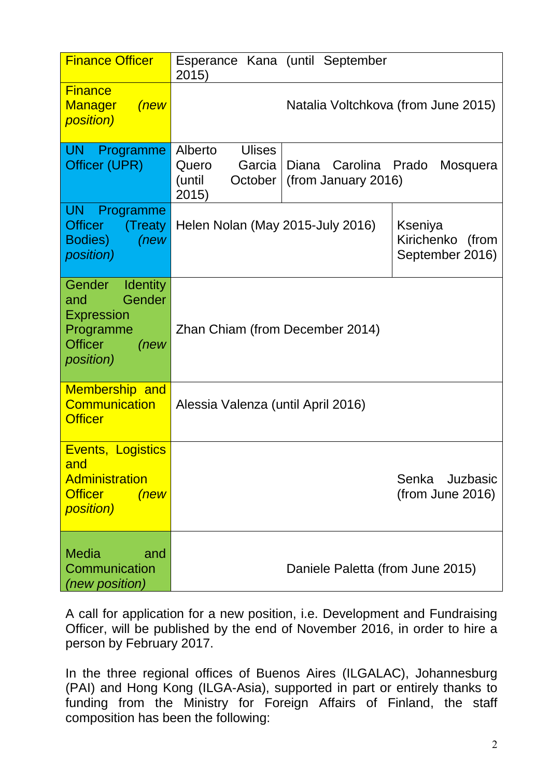| <b>Finance Officer</b>                                                                                                     | 2015)                                                                     | Esperance Kana (until September                |                                                |
|----------------------------------------------------------------------------------------------------------------------------|---------------------------------------------------------------------------|------------------------------------------------|------------------------------------------------|
| <b>Finance</b><br><b>Manager</b><br>(new)<br><i>position)</i>                                                              |                                                                           | Natalia Voltchkova (from June 2015)            |                                                |
| UN<br>Programme<br>Officer (UPR)                                                                                           | Alberto<br><b>Ulises</b><br>Garcia<br>Quero<br>(until<br>October<br>2015) | Diana<br>Carolina Prado<br>(from January 2016) | Mosquera                                       |
| <b>UN</b><br>Programme<br><b>Officer</b><br>(Treaty)<br>Bodies)<br>(new<br><i>position)</i>                                | Helen Nolan (May 2015-July 2016)                                          |                                                | Kseniya<br>Kirichenko (from<br>September 2016) |
| Gender<br><b>Identity</b><br>Gender<br>and<br><b>Expression</b><br>Programme<br><b>Officer</b><br>(new<br><i>position)</i> | Zhan Chiam (from December 2014)                                           |                                                |                                                |
| <b>Membership and</b><br><b>Communication</b><br><b>Officer</b>                                                            | Alessia Valenza (until April 2016)                                        |                                                |                                                |
| Events, Logistics<br>and<br>Administration<br><b>Officer</b><br>(new<br><i>position)</i>                                   |                                                                           |                                                | Senka<br>Juzbasic<br>(from June 2016)          |
| Media<br>and<br>Communication<br>(new position)                                                                            | Daniele Paletta (from June 2015)                                          |                                                |                                                |

A call for application for a new position, i.e. Development and Fundraising Officer, will be published by the end of November 2016, in order to hire a person by February 2017.

In the three regional offices of Buenos Aires (ILGALAC), Johannesburg (PAI) and Hong Kong (ILGA-Asia), supported in part or entirely thanks to funding from the Ministry for Foreign Affairs of Finland, the staff composition has been the following: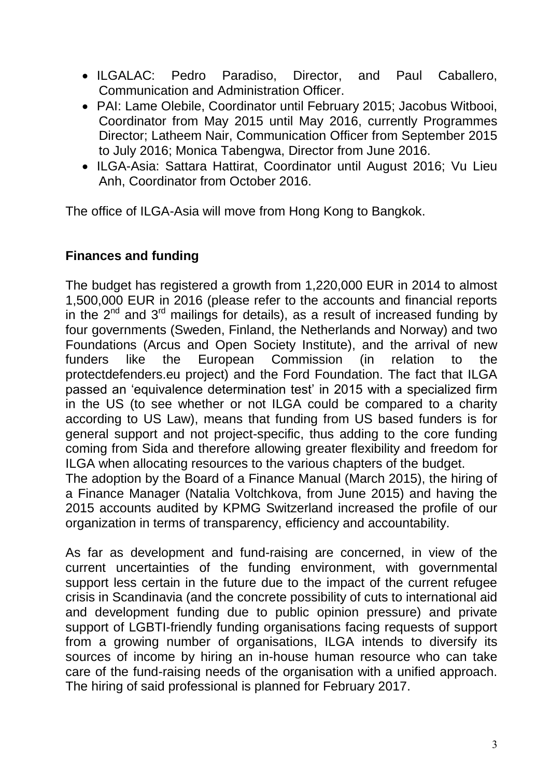- ILGALAC: Pedro Paradiso, Director, and Paul Caballero, Communication and Administration Officer.
- PAI: Lame Olebile, Coordinator until February 2015; Jacobus Witbooi, Coordinator from May 2015 until May 2016, currently Programmes Director; Latheem Nair, Communication Officer from September 2015 to July 2016; Monica Tabengwa, Director from June 2016.
- ILGA-Asia: Sattara Hattirat, Coordinator until August 2016; Vu Lieu Anh, Coordinator from October 2016.

The office of ILGA-Asia will move from Hong Kong to Bangkok.

# **Finances and funding**

The budget has registered a growth from 1,220,000 EUR in 2014 to almost 1,500,000 EUR in 2016 (please refer to the accounts and financial reports in the 2<sup>nd</sup> and 3<sup>rd</sup> mailings for details), as a result of increased funding by four governments (Sweden, Finland, the Netherlands and Norway) and two Foundations (Arcus and Open Society Institute), and the arrival of new funders like the European Commission (in relation to the protectdefenders.eu project) and the Ford Foundation. The fact that ILGA passed an 'equivalence determination test' in 2015 with a specialized firm in the US (to see whether or not ILGA could be compared to a charity according to US Law), means that funding from US based funders is for general support and not project-specific, thus adding to the core funding coming from Sida and therefore allowing greater flexibility and freedom for ILGA when allocating resources to the various chapters of the budget.

The adoption by the Board of a Finance Manual (March 2015), the hiring of a Finance Manager (Natalia Voltchkova, from June 2015) and having the 2015 accounts audited by KPMG Switzerland increased the profile of our organization in terms of transparency, efficiency and accountability.

As far as development and fund-raising are concerned, in view of the current uncertainties of the funding environment, with governmental support less certain in the future due to the impact of the current refugee crisis in Scandinavia (and the concrete possibility of cuts to international aid and development funding due to public opinion pressure) and private support of LGBTI-friendly funding organisations facing requests of support from a growing number of organisations, ILGA intends to diversify its sources of income by hiring an in-house human resource who can take care of the fund-raising needs of the organisation with a unified approach. The hiring of said professional is planned for February 2017.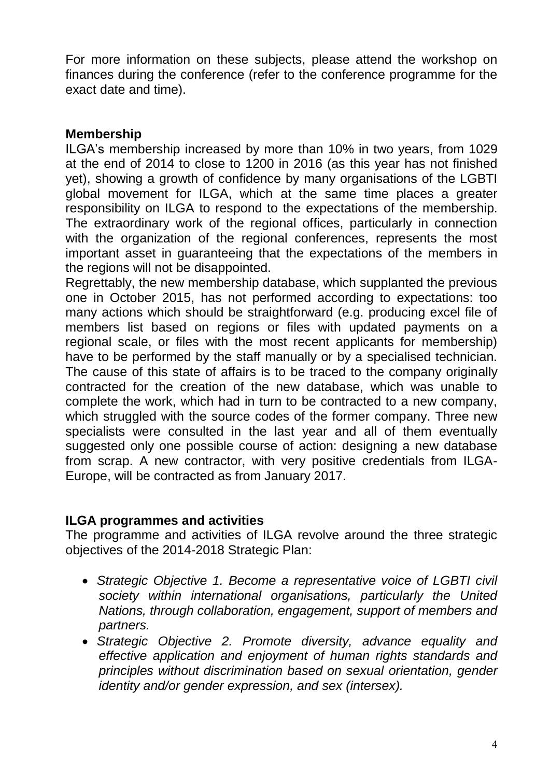For more information on these subjects, please attend the workshop on finances during the conference (refer to the conference programme for the exact date and time).

# **Membership**

ILGA's membership increased by more than 10% in two years, from 1029 at the end of 2014 to close to 1200 in 2016 (as this year has not finished yet), showing a growth of confidence by many organisations of the LGBTI global movement for ILGA, which at the same time places a greater responsibility on ILGA to respond to the expectations of the membership. The extraordinary work of the regional offices, particularly in connection with the organization of the regional conferences, represents the most important asset in guaranteeing that the expectations of the members in the regions will not be disappointed.

Regrettably, the new membership database, which supplanted the previous one in October 2015, has not performed according to expectations: too many actions which should be straightforward (e.g. producing excel file of members list based on regions or files with updated payments on a regional scale, or files with the most recent applicants for membership) have to be performed by the staff manually or by a specialised technician. The cause of this state of affairs is to be traced to the company originally contracted for the creation of the new database, which was unable to complete the work, which had in turn to be contracted to a new company, which struggled with the source codes of the former company. Three new specialists were consulted in the last year and all of them eventually suggested only one possible course of action: designing a new database from scrap. A new contractor, with very positive credentials from ILGA-Europe, will be contracted as from January 2017.

## **ILGA programmes and activities**

The programme and activities of ILGA revolve around the three strategic objectives of the 2014-2018 Strategic Plan:

- *Strategic Objective 1. Become a representative voice of LGBTI civil society within international organisations, particularly the United Nations, through collaboration, engagement, support of members and partners.*
- *Strategic Objective 2. Promote diversity, advance equality and effective application and enjoyment of human rights standards and principles without discrimination based on sexual orientation, gender identity and/or gender expression, and sex (intersex).*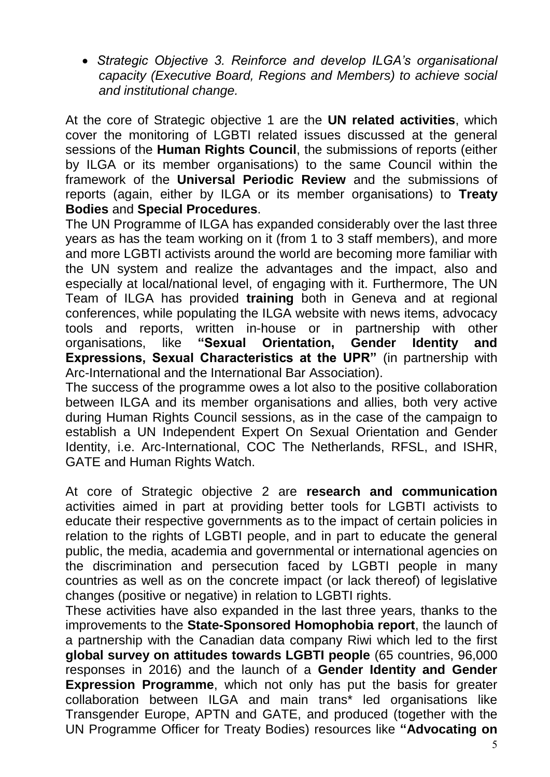*Strategic Objective 3. Reinforce and develop ILGA's organisational capacity (Executive Board, Regions and Members) to achieve social and institutional change.*

At the core of Strategic objective 1 are the **UN related activities**, which cover the monitoring of LGBTI related issues discussed at the general sessions of the **Human Rights Council**, the submissions of reports (either by ILGA or its member organisations) to the same Council within the framework of the **Universal Periodic Review** and the submissions of reports (again, either by ILGA or its member organisations) to **Treaty Bodies** and **Special Procedures**.

The UN Programme of ILGA has expanded considerably over the last three years as has the team working on it (from 1 to 3 staff members), and more and more LGBTI activists around the world are becoming more familiar with the UN system and realize the advantages and the impact, also and especially at local/national level, of engaging with it. Furthermore, The UN Team of ILGA has provided **training** both in Geneva and at regional conferences, while populating the ILGA website with news items, advocacy tools and reports, written in-house or in partnership with other organisations, like **"Sexual Orientation, Gender Identity and Expressions, Sexual Characteristics at the UPR"** (in partnership with Arc-International and the International Bar Association).

The success of the programme owes a lot also to the positive collaboration between ILGA and its member organisations and allies, both very active during Human Rights Council sessions, as in the case of the campaign to establish a UN Independent Expert On Sexual Orientation and Gender Identity, i.e. Arc-International, COC The Netherlands, RFSL, and ISHR, GATE and Human Rights Watch.

At core of Strategic objective 2 are **research and communication** activities aimed in part at providing better tools for LGBTI activists to educate their respective governments as to the impact of certain policies in relation to the rights of LGBTI people, and in part to educate the general public, the media, academia and governmental or international agencies on the discrimination and persecution faced by LGBTI people in many countries as well as on the concrete impact (or lack thereof) of legislative changes (positive or negative) in relation to LGBTI rights.

These activities have also expanded in the last three years, thanks to the improvements to the **State-Sponsored Homophobia report**, the launch of a partnership with the Canadian data company Riwi which led to the first **global survey on attitudes towards LGBTI people** (65 countries, 96,000 responses in 2016) and the launch of a **Gender Identity and Gender Expression Programme**, which not only has put the basis for greater collaboration between ILGA and main trans\* led organisations like Transgender Europe, APTN and GATE, and produced (together with the UN Programme Officer for Treaty Bodies) resources like **"Advocating on**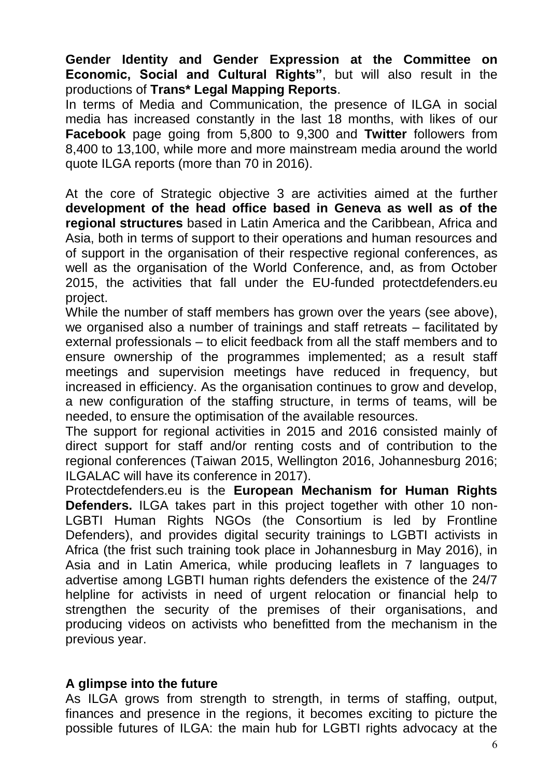**Gender Identity and Gender Expression at the Committee on Economic, Social and Cultural Rights"**, but will also result in the productions of **Trans\* Legal Mapping Reports**.

In terms of Media and Communication, the presence of ILGA in social media has increased constantly in the last 18 months, with likes of our **Facebook** page going from 5,800 to 9,300 and **Twitter** followers from 8,400 to 13,100, while more and more mainstream media around the world quote ILGA reports (more than 70 in 2016).

At the core of Strategic objective 3 are activities aimed at the further **development of the head office based in Geneva as well as of the regional structures** based in Latin America and the Caribbean, Africa and Asia, both in terms of support to their operations and human resources and of support in the organisation of their respective regional conferences, as well as the organisation of the World Conference, and, as from October 2015, the activities that fall under the EU-funded protectdefenders.eu project.

While the number of staff members has grown over the years (see above), we organised also a number of trainings and staff retreats – facilitated by external professionals – to elicit feedback from all the staff members and to ensure ownership of the programmes implemented; as a result staff meetings and supervision meetings have reduced in frequency, but increased in efficiency. As the organisation continues to grow and develop, a new configuration of the staffing structure, in terms of teams, will be needed, to ensure the optimisation of the available resources.

The support for regional activities in 2015 and 2016 consisted mainly of direct support for staff and/or renting costs and of contribution to the regional conferences (Taiwan 2015, Wellington 2016, Johannesburg 2016; ILGALAC will have its conference in 2017).

Protectdefenders.eu is the **European Mechanism for Human Rights Defenders.** ILGA takes part in this project together with other 10 non-LGBTI Human Rights NGOs (the Consortium is led by Frontline Defenders), and provides digital security trainings to LGBTI activists in Africa (the frist such training took place in Johannesburg in May 2016), in Asia and in Latin America, while producing leaflets in 7 languages to advertise among LGBTI human rights defenders the existence of the 24/7 helpline for activists in need of urgent relocation or financial help to strengthen the security of the premises of their organisations, and producing videos on activists who benefitted from the mechanism in the previous year.

### **A glimpse into the future**

As ILGA grows from strength to strength, in terms of staffing, output, finances and presence in the regions, it becomes exciting to picture the possible futures of ILGA: the main hub for LGBTI rights advocacy at the